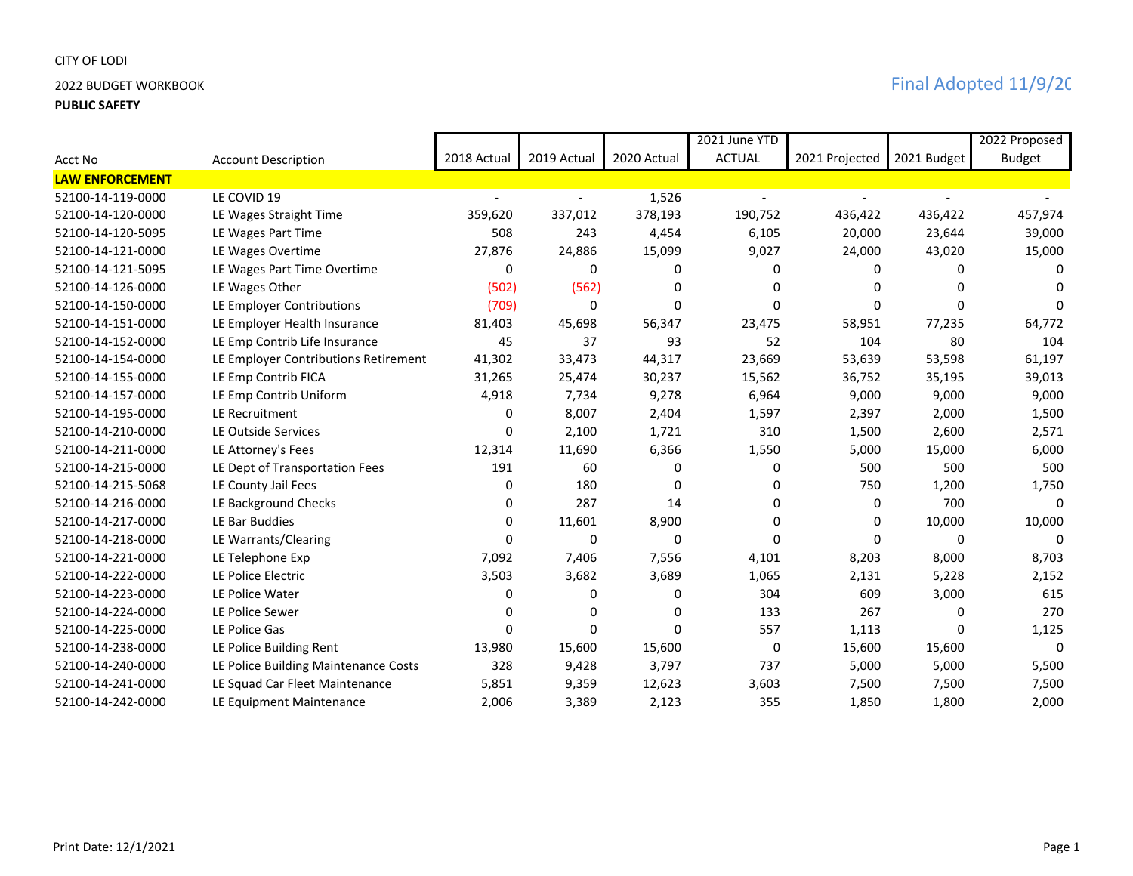## CITY OF LODI

## **PUBLIC SAFETY**

|                        |                                      |             |             |             | 2021 June YTD  |                |              | 2022 Proposed |
|------------------------|--------------------------------------|-------------|-------------|-------------|----------------|----------------|--------------|---------------|
| Acct No                | <b>Account Description</b>           | 2018 Actual | 2019 Actual | 2020 Actual | <b>ACTUAL</b>  | 2021 Projected | 2021 Budget  | <b>Budget</b> |
| <b>LAW ENFORCEMENT</b> |                                      |             |             |             |                |                |              |               |
| 52100-14-119-0000      | LE COVID 19                          |             |             | 1,526       | $\overline{a}$ |                |              |               |
| 52100-14-120-0000      | LE Wages Straight Time               | 359,620     | 337,012     | 378,193     | 190,752        | 436,422        | 436,422      | 457,974       |
| 52100-14-120-5095      | LE Wages Part Time                   | 508         | 243         | 4,454       | 6,105          | 20,000         | 23,644       | 39,000        |
| 52100-14-121-0000      | LE Wages Overtime                    | 27,876      | 24,886      | 15,099      | 9,027          | 24,000         | 43,020       | 15,000        |
| 52100-14-121-5095      | LE Wages Part Time Overtime          | 0           | 0           | 0           | 0              | 0              | 0            |               |
| 52100-14-126-0000      | LE Wages Other                       | (502)       | (562)       | 0           | 0              |                | O            |               |
| 52100-14-150-0000      | LE Employer Contributions            | (709)       | 0           | $\Omega$    | 0              |                | $\Omega$     |               |
| 52100-14-151-0000      | LE Employer Health Insurance         | 81,403      | 45,698      | 56,347      | 23,475         | 58,951         | 77,235       | 64,772        |
| 52100-14-152-0000      | LE Emp Contrib Life Insurance        | 45          | 37          | 93          | 52             | 104            | 80           | 104           |
| 52100-14-154-0000      | LE Employer Contributions Retirement | 41,302      | 33,473      | 44,317      | 23,669         | 53,639         | 53,598       | 61,197        |
| 52100-14-155-0000      | LE Emp Contrib FICA                  | 31,265      | 25,474      | 30,237      | 15,562         | 36,752         | 35,195       | 39,013        |
| 52100-14-157-0000      | LE Emp Contrib Uniform               | 4,918       | 7,734       | 9,278       | 6,964          | 9,000          | 9,000        | 9,000         |
| 52100-14-195-0000      | LE Recruitment                       | 0           | 8,007       | 2,404       | 1,597          | 2,397          | 2,000        | 1,500         |
| 52100-14-210-0000      | LE Outside Services                  | $\Omega$    | 2,100       | 1,721       | 310            | 1,500          | 2,600        | 2,571         |
| 52100-14-211-0000      | LE Attorney's Fees                   | 12,314      | 11,690      | 6,366       | 1,550          | 5,000          | 15,000       | 6,000         |
| 52100-14-215-0000      | LE Dept of Transportation Fees       | 191         | 60          | 0           | 0              | 500            | 500          | 500           |
| 52100-14-215-5068      | LE County Jail Fees                  | 0           | 180         | $\Omega$    | 0              | 750            | 1,200        | 1,750         |
| 52100-14-216-0000      | LE Background Checks                 | 0           | 287         | 14          | 0              | 0              | 700          | $\Omega$      |
| 52100-14-217-0000      | LE Bar Buddies                       | 0           | 11,601      | 8,900       | 0              | 0              | 10,000       | 10,000        |
| 52100-14-218-0000      | LE Warrants/Clearing                 | 0           | 0           | 0           | 0              | 0              | 0            | 0             |
| 52100-14-221-0000      | LE Telephone Exp                     | 7,092       | 7,406       | 7,556       | 4,101          | 8,203          | 8,000        | 8,703         |
| 52100-14-222-0000      | LE Police Electric                   | 3,503       | 3,682       | 3,689       | 1,065          | 2,131          | 5,228        | 2,152         |
| 52100-14-223-0000      | LE Police Water                      | 0           | 0           | 0           | 304            | 609            | 3,000        | 615           |
| 52100-14-224-0000      | LE Police Sewer                      | 0           | $\Omega$    | 0           | 133            | 267            | 0            | 270           |
| 52100-14-225-0000      | LE Police Gas                        | 0           | $\Omega$    | $\Omega$    | 557            | 1,113          | $\mathbf{0}$ | 1,125         |
| 52100-14-238-0000      | LE Police Building Rent              | 13,980      | 15,600      | 15,600      | 0              | 15,600         | 15,600       | 0             |
| 52100-14-240-0000      | LE Police Building Maintenance Costs | 328         | 9,428       | 3,797       | 737            | 5,000          | 5,000        | 5,500         |
| 52100-14-241-0000      | LE Squad Car Fleet Maintenance       | 5,851       | 9,359       | 12,623      | 3,603          | 7,500          | 7,500        | 7,500         |
| 52100-14-242-0000      | LE Equipment Maintenance             | 2,006       | 3,389       | 2,123       | 355            | 1,850          | 1,800        | 2,000         |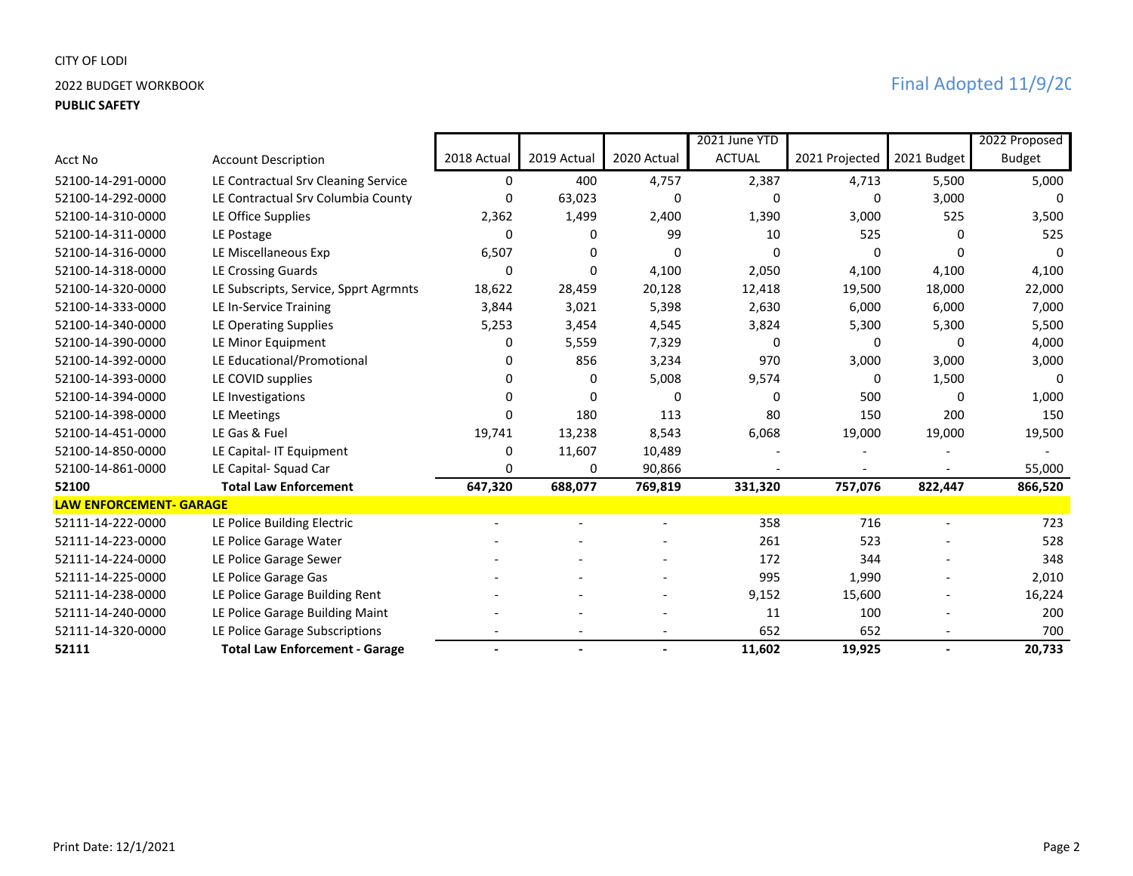## CITY OF LODI

## **PUBLIC SAFETY**

|                                |                                       |             |                          |                | 2021 June YTD |                |                | 2022 Proposed |
|--------------------------------|---------------------------------------|-------------|--------------------------|----------------|---------------|----------------|----------------|---------------|
| Acct No                        | <b>Account Description</b>            | 2018 Actual | 2019 Actual              | 2020 Actual    | <b>ACTUAL</b> | 2021 Projected | 2021 Budget    | <b>Budget</b> |
| 52100-14-291-0000              | LE Contractual Srv Cleaning Service   | 0           | 400                      | 4,757          | 2,387         | 4,713          | 5,500          | 5,000         |
| 52100-14-292-0000              | LE Contractual Srv Columbia County    | 0           | 63,023                   | 0              | 0             | 0              | 3,000          |               |
| 52100-14-310-0000              | LE Office Supplies                    | 2,362       | 1,499                    | 2,400          | 1,390         | 3,000          | 525            | 3,500         |
| 52100-14-311-0000              | LE Postage                            | 0           | <sup>0</sup>             | 99             | 10            | 525            | 0              | 525           |
| 52100-14-316-0000              | LE Miscellaneous Exp                  | 6,507       | <sup>0</sup>             | $\Omega$       | 0             | $\Omega$       | 0              | 0             |
| 52100-14-318-0000              | LE Crossing Guards                    | 0           | <sup>0</sup>             | 4,100          | 2,050         | 4,100          | 4,100          | 4,100         |
| 52100-14-320-0000              | LE Subscripts, Service, Spprt Agrmnts | 18,622      | 28,459                   | 20,128         | 12,418        | 19,500         | 18,000         | 22,000        |
| 52100-14-333-0000              | LE In-Service Training                | 3,844       | 3,021                    | 5,398          | 2,630         | 6,000          | 6,000          | 7,000         |
| 52100-14-340-0000              | LE Operating Supplies                 | 5,253       | 3,454                    | 4,545          | 3,824         | 5,300          | 5,300          | 5,500         |
| 52100-14-390-0000              | LE Minor Equipment                    | 0           | 5,559                    | 7,329          | 0             | 0              | 0              | 4,000         |
| 52100-14-392-0000              | LE Educational/Promotional            | 0           | 856                      | 3,234          | 970           | 3,000          | 3,000          | 3,000         |
| 52100-14-393-0000              | LE COVID supplies                     | 0           | 0                        | 5,008          | 9,574         | 0              | 1,500          | 0             |
| 52100-14-394-0000              | LE Investigations                     | n           | <sup>0</sup>             | $\Omega$       | 0             | 500            | 0              | 1,000         |
| 52100-14-398-0000              | LE Meetings                           | 0           | 180                      | 113            | 80            | 150            | 200            | 150           |
| 52100-14-451-0000              | LE Gas & Fuel                         | 19,741      | 13,238                   | 8,543          | 6,068         | 19,000         | 19,000         | 19,500        |
| 52100-14-850-0000              | LE Capital- IT Equipment              | 0           | 11,607                   | 10,489         |               |                |                |               |
| 52100-14-861-0000              | LE Capital- Squad Car                 | 0           | 0                        | 90,866         |               |                |                | 55,000        |
| 52100                          | <b>Total Law Enforcement</b>          | 647,320     | 688,077                  | 769,819        | 331,320       | 757,076        | 822,447        | 866,520       |
| <b>LAW ENFORCEMENT- GARAGE</b> |                                       |             |                          |                |               |                |                |               |
| 52111-14-222-0000              | LE Police Building Electric           |             |                          |                | 358           | 716            |                | 723           |
| 52111-14-223-0000              | LE Police Garage Water                |             |                          |                | 261           | 523            |                | 528           |
| 52111-14-224-0000              | LE Police Garage Sewer                |             |                          |                | 172           | 344            |                | 348           |
| 52111-14-225-0000              | LE Police Garage Gas                  |             |                          |                | 995           | 1,990          |                | 2,010         |
| 52111-14-238-0000              | LE Police Garage Building Rent        |             |                          |                | 9,152         | 15,600         |                | 16,224        |
| 52111-14-240-0000              | LE Police Garage Building Maint       |             |                          |                | 11            | 100            |                | 200           |
| 52111-14-320-0000              | LE Police Garage Subscriptions        |             |                          |                | 652           | 652            |                | 700           |
| 52111                          | <b>Total Law Enforcement - Garage</b> |             | $\overline{\phantom{a}}$ | $\blacksquare$ | 11,602        | 19,925         | $\blacksquare$ | 20,733        |